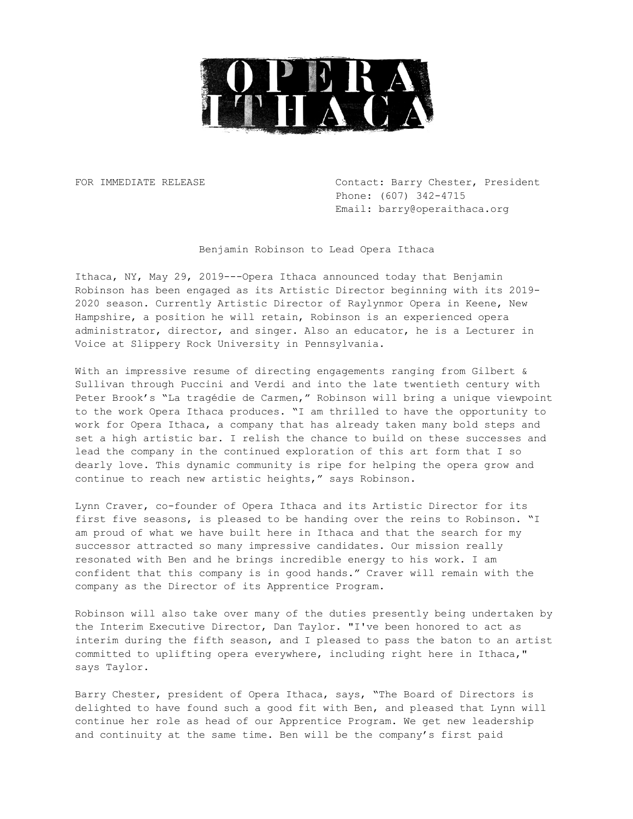

FOR IMMEDIATE RELEASE Contact: Barry Chester, President Phone: (607) 342-4715 Email: barry@operaithaca.org

Benjamin Robinson to Lead Opera Ithaca

Ithaca, NY, May 29, 2019---Opera Ithaca announced today that Benjamin Robinson has been engaged as its Artistic Director beginning with its 2019- 2020 season. Currently Artistic Director of Raylynmor Opera in Keene, New Hampshire, a position he will retain, Robinson is an experienced opera administrator, director, and singer. Also an educator, he is a Lecturer in Voice at Slippery Rock University in Pennsylvania.

With an impressive resume of directing engagements ranging from Gilbert & Sullivan through Puccini and Verdi and into the late twentieth century with Peter Brook's "La tragédie de Carmen," Robinson will bring a unique viewpoint to the work Opera Ithaca produces. "I am thrilled to have the opportunity to work for Opera Ithaca, a company that has already taken many bold steps and set a high artistic bar. I relish the chance to build on these successes and lead the company in the continued exploration of this art form that I so dearly love. This dynamic community is ripe for helping the opera grow and continue to reach new artistic heights," says Robinson.

Lynn Craver, co-founder of Opera Ithaca and its Artistic Director for its first five seasons, is pleased to be handing over the reins to Robinson. "I am proud of what we have built here in Ithaca and that the search for my successor attracted so many impressive candidates. Our mission really resonated with Ben and he brings incredible energy to his work. I am confident that this company is in good hands." Craver will remain with the company as the Director of its Apprentice Program.

Robinson will also take over many of the duties presently being undertaken by the Interim Executive Director, Dan Taylor. "I've been honored to act as interim during the fifth season, and I pleased to pass the baton to an artist committed to uplifting opera everywhere, including right here in Ithaca," says Taylor.

Barry Chester, president of Opera Ithaca, says, "The Board of Directors is delighted to have found such a good fit with Ben, and pleased that Lynn will continue her role as head of our Apprentice Program. We get new leadership and continuity at the same time. Ben will be the company's first paid